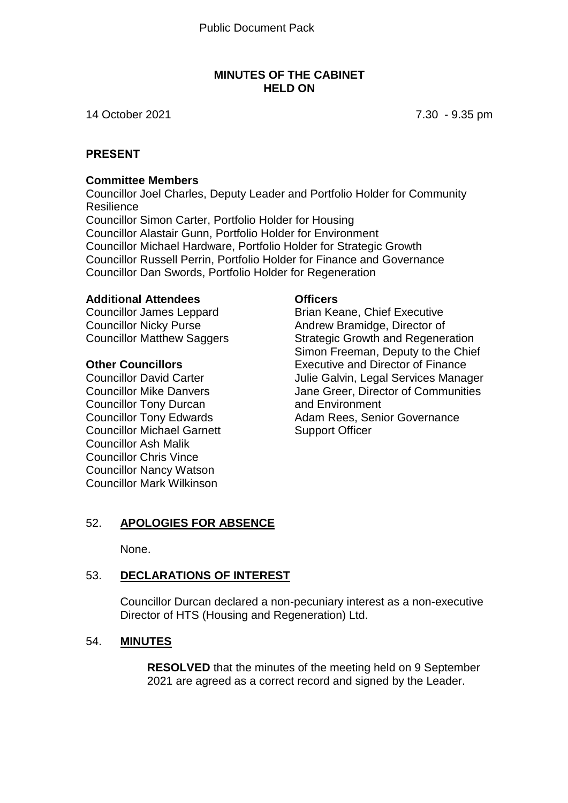#### **MINUTES OF THE CABINET HELD ON**

14 October 2021 7.30 - 9.35 pm

## **PRESENT**

#### **Committee Members**

Councillor Joel Charles, Deputy Leader and Portfolio Holder for Community **Resilience** Councillor Simon Carter, Portfolio Holder for Housing Councillor Alastair Gunn, Portfolio Holder for Environment Councillor Michael Hardware, Portfolio Holder for Strategic Growth Councillor Russell Perrin, Portfolio Holder for Finance and Governance Councillor Dan Swords, Portfolio Holder for Regeneration

#### **Additional Attendees**

Councillor James Leppard Councillor Nicky Purse Councillor Matthew Saggers

#### **Other Councillors**

Councillor David Carter Councillor Mike Danvers Councillor Tony Durcan Councillor Tony Edwards Councillor Michael Garnett Councillor Ash Malik Councillor Chris Vince Councillor Nancy Watson Councillor Mark Wilkinson

#### **Officers**

Brian Keane, Chief Executive Andrew Bramidge, Director of Strategic Growth and Regeneration Simon Freeman, Deputy to the Chief Executive and Director of Finance Julie Galvin, Legal Services Manager Jane Greer, Director of Communities and Environment Adam Rees, Senior Governance Support Officer

#### 52. **APOLOGIES FOR ABSENCE**

None.

## 53. **DECLARATIONS OF INTEREST**

Councillor Durcan declared a non-pecuniary interest as a non-executive Director of HTS (Housing and Regeneration) Ltd.

#### 54. **MINUTES**

**RESOLVED** that the minutes of the meeting held on 9 September 2021 are agreed as a correct record and signed by the Leader.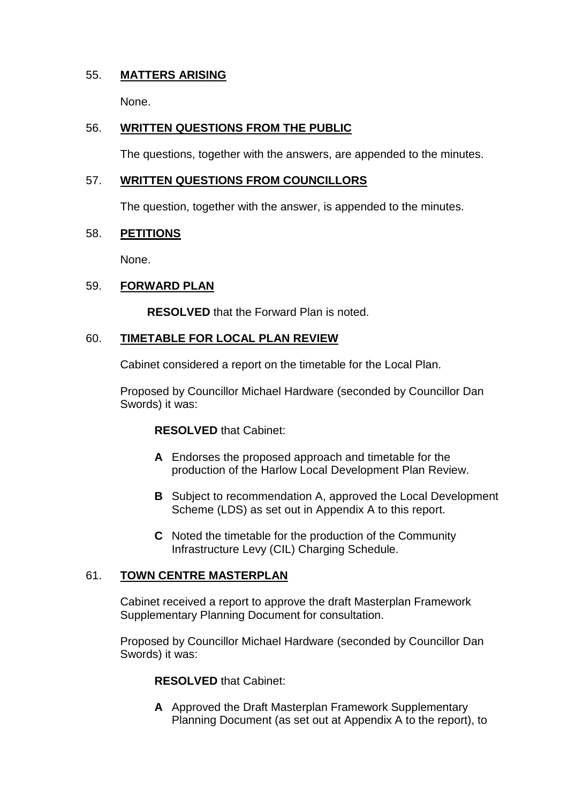## 55. **MATTERS ARISING**

None.

## 56. **WRITTEN QUESTIONS FROM THE PUBLIC**

The questions, together with the answers, are appended to the minutes.

## 57. **WRITTEN QUESTIONS FROM COUNCILLORS**

The question, together with the answer, is appended to the minutes.

## 58. **PETITIONS**

None.

## 59. **FORWARD PLAN**

**RESOLVED** that the Forward Plan is noted.

## 60. **TIMETABLE FOR LOCAL PLAN REVIEW**

Cabinet considered a report on the timetable for the Local Plan.

Proposed by Councillor Michael Hardware (seconded by Councillor Dan Swords) it was:

#### **RESOLVED** that Cabinet:

- **A** Endorses the proposed approach and timetable for the production of the Harlow Local Development Plan Review.
- **B** Subject to recommendation A, approved the Local Development Scheme (LDS) as set out in Appendix A to this report.
- **C** Noted the timetable for the production of the Community Infrastructure Levy (CIL) Charging Schedule.

## 61. **TOWN CENTRE MASTERPLAN**

Cabinet received a report to approve the draft Masterplan Framework Supplementary Planning Document for consultation.

Proposed by Councillor Michael Hardware (seconded by Councillor Dan Swords) it was:

## **RESOLVED** that Cabinet:

**A** Approved the Draft Masterplan Framework Supplementary Planning Document (as set out at Appendix A to the report), to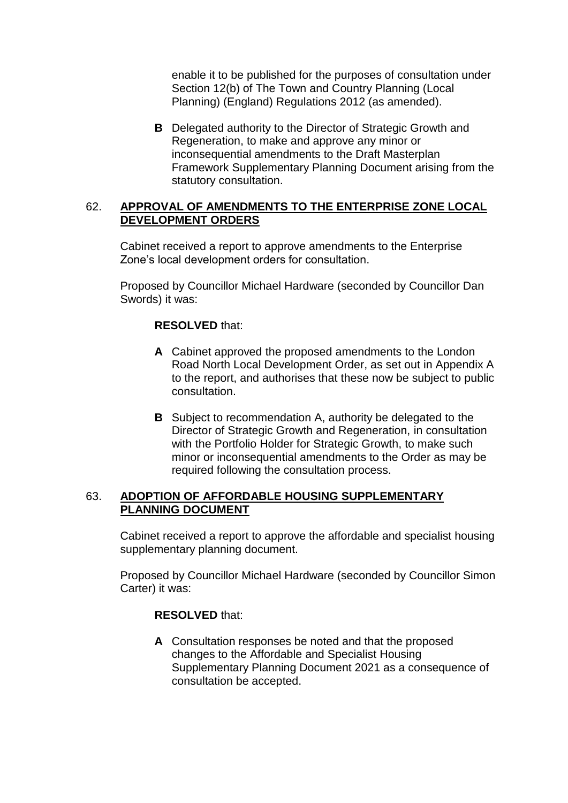enable it to be published for the purposes of consultation under Section 12(b) of The Town and Country Planning (Local Planning) (England) Regulations 2012 (as amended).

**B** Delegated authority to the Director of Strategic Growth and Regeneration, to make and approve any minor or inconsequential amendments to the Draft Masterplan Framework Supplementary Planning Document arising from the statutory consultation.

#### 62. **APPROVAL OF AMENDMENTS TO THE ENTERPRISE ZONE LOCAL DEVELOPMENT ORDERS**

Cabinet received a report to approve amendments to the Enterprise Zone's local development orders for consultation.

Proposed by Councillor Michael Hardware (seconded by Councillor Dan Swords) it was:

#### **RESOLVED** that:

- **A** Cabinet approved the proposed amendments to the London Road North Local Development Order, as set out in Appendix A to the report, and authorises that these now be subject to public consultation.
- **B** Subject to recommendation A, authority be delegated to the Director of Strategic Growth and Regeneration, in consultation with the Portfolio Holder for Strategic Growth, to make such minor or inconsequential amendments to the Order as may be required following the consultation process.

#### 63. **ADOPTION OF AFFORDABLE HOUSING SUPPLEMENTARY PLANNING DOCUMENT**

Cabinet received a report to approve the affordable and specialist housing supplementary planning document.

Proposed by Councillor Michael Hardware (seconded by Councillor Simon Carter) it was:

#### **RESOLVED** that:

**A** Consultation responses be noted and that the proposed changes to the Affordable and Specialist Housing Supplementary Planning Document 2021 as a consequence of consultation be accepted.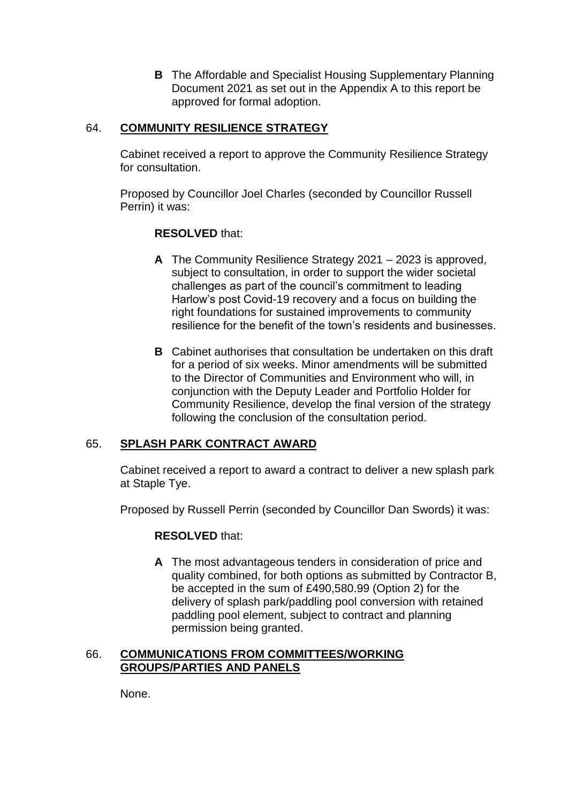**B** The Affordable and Specialist Housing Supplementary Planning Document 2021 as set out in the Appendix A to this report be approved for formal adoption.

## 64. **COMMUNITY RESILIENCE STRATEGY**

Cabinet received a report to approve the Community Resilience Strategy for consultation.

Proposed by Councillor Joel Charles (seconded by Councillor Russell Perrin) it was:

## **RESOLVED** that:

- **A** The Community Resilience Strategy 2021 2023 is approved, subject to consultation, in order to support the wider societal challenges as part of the council's commitment to leading Harlow's post Covid-19 recovery and a focus on building the right foundations for sustained improvements to community resilience for the benefit of the town's residents and businesses.
- **B** Cabinet authorises that consultation be undertaken on this draft for a period of six weeks. Minor amendments will be submitted to the Director of Communities and Environment who will, in conjunction with the Deputy Leader and Portfolio Holder for Community Resilience, develop the final version of the strategy following the conclusion of the consultation period.

## 65. **SPLASH PARK CONTRACT AWARD**

Cabinet received a report to award a contract to deliver a new splash park at Staple Tye.

Proposed by Russell Perrin (seconded by Councillor Dan Swords) it was:

#### **RESOLVED** that:

**A** The most advantageous tenders in consideration of price and quality combined, for both options as submitted by Contractor B, be accepted in the sum of £490,580.99 (Option 2) for the delivery of splash park/paddling pool conversion with retained paddling pool element, subject to contract and planning permission being granted.

#### 66. **COMMUNICATIONS FROM COMMITTEES/WORKING GROUPS/PARTIES AND PANELS**

None.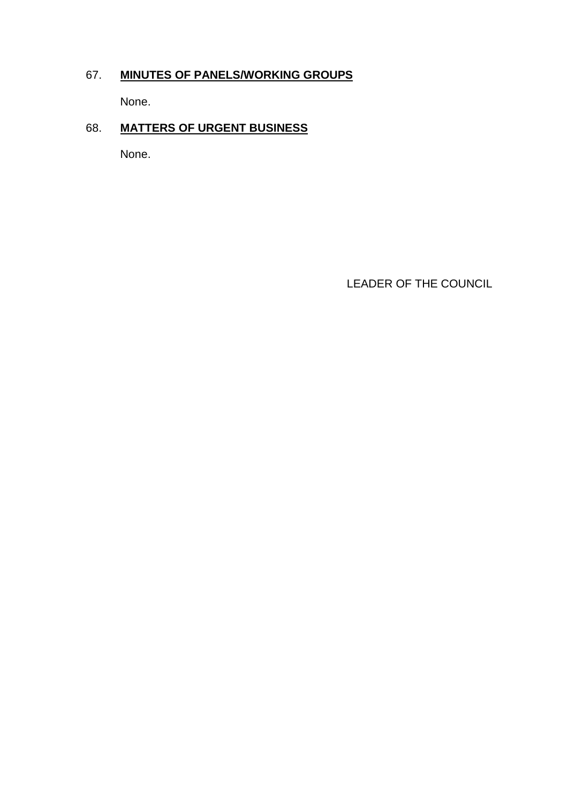## 67. **MINUTES OF PANELS/WORKING GROUPS**

None.

## 68. **MATTERS OF URGENT BUSINESS**

None.

LEADER OF THE COUNCIL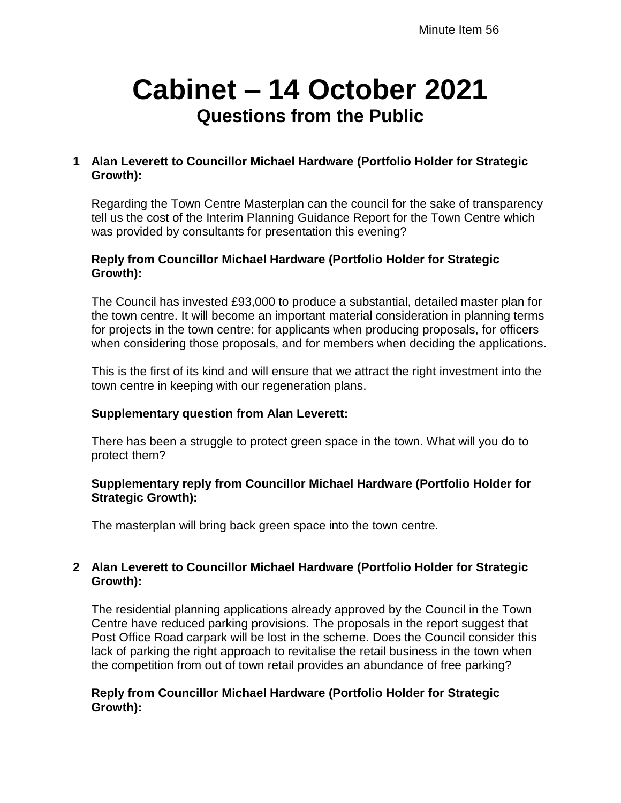# **Cabinet – 14 October 2021 Questions from the Public**

## **1 Alan Leverett to Councillor Michael Hardware (Portfolio Holder for Strategic Growth):**

Regarding the Town Centre Masterplan can the council for the sake of transparency tell us the cost of the Interim Planning Guidance Report for the Town Centre which was provided by consultants for presentation this evening?

#### **Reply from Councillor Michael Hardware (Portfolio Holder for Strategic Growth):**

The Council has invested £93,000 to produce a substantial, detailed master plan for the town centre. It will become an important material consideration in planning terms for projects in the town centre: for applicants when producing proposals, for officers when considering those proposals, and for members when deciding the applications.

This is the first of its kind and will ensure that we attract the right investment into the town centre in keeping with our regeneration plans.

## **Supplementary question from Alan Leverett:**

There has been a struggle to protect green space in the town. What will you do to protect them?

## **Supplementary reply from Councillor Michael Hardware (Portfolio Holder for Strategic Growth):**

The masterplan will bring back green space into the town centre.

## **2 Alan Leverett to Councillor Michael Hardware (Portfolio Holder for Strategic Growth):**

The residential planning applications already approved by the Council in the Town Centre have reduced parking provisions. The proposals in the report suggest that Post Office Road carpark will be lost in the scheme. Does the Council consider this lack of parking the right approach to revitalise the retail business in the town when the competition from out of town retail provides an abundance of free parking?

## **Reply from Councillor Michael Hardware (Portfolio Holder for Strategic Growth):**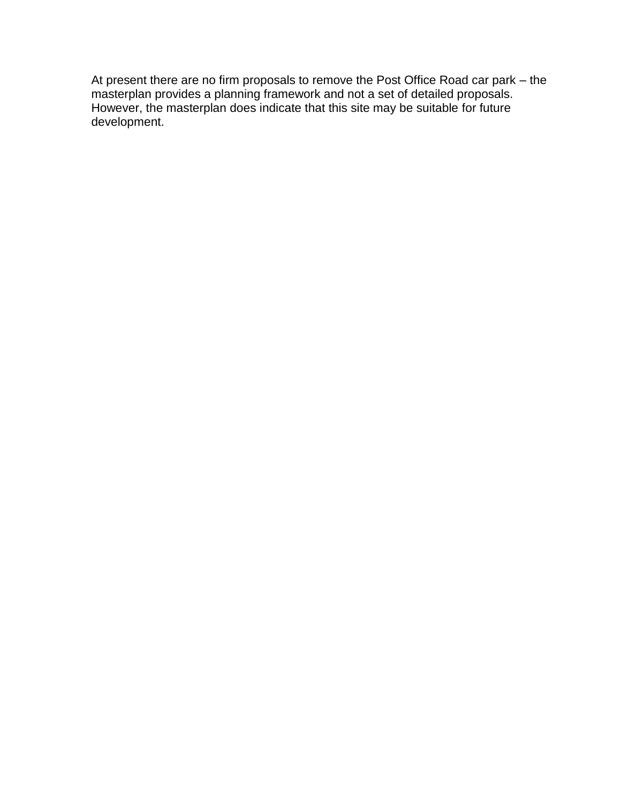At present there are no firm proposals to remove the Post Office Road car park – the masterplan provides a planning framework and not a set of detailed proposals. However, the masterplan does indicate that this site may be suitable for future development.